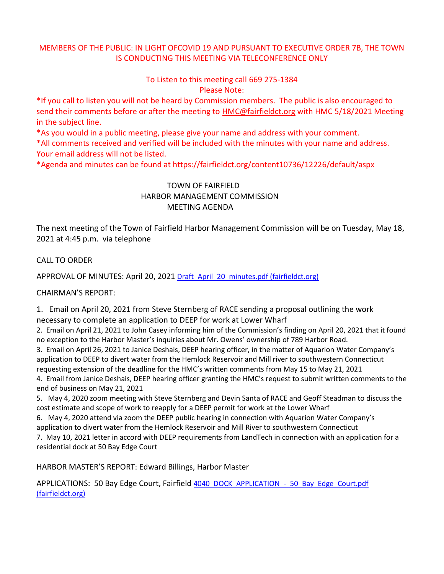# MEMBERS OF THE PUBLIC: IN LIGHT OFCOVID 19 AND PURSUANT TO EXECUTIVE ORDER 7B, THE TOWN IS CONDUCTING THIS MEETING VIA TELECONFERENCE ONLY

## To Listen to this meeting call 669 275-1384 Please Note:

\*If you call to listen you will not be heard by Commission members. The public is also encouraged to send their comments before or after the meeting to [HMC@fairfieldct.org](mailto:HMC@fairfieldct.org) with HMC 5/18/2021 Meeting in the subject line.

\*As you would in a public meeting, please give your name and address with your comment.

\*All comments received and verified will be included with the minutes with your name and address. Your email address will not be listed.

\*Agenda and minutes can be found at https://fairfieldct.org/content10736/12226/default/aspx

# TOWN OF FAIRFIELD HARBOR MANAGEMENT COMMISSION MEETING AGENDA

The next meeting of the Town of Fairfield Harbor Management Commission will be on Tuesday, May 18, 2021 at 4:45 p.m. via telephone

## CALL TO ORDER

APPROVAL OF MINUTES: April 20, 2021 [Draft\\_April\\_20\\_minutes.pdf \(fairfieldct.org\)](https://www.fairfieldct.org/filestorage/10736/12067/17037/66861/94822/107580/Draft_April_20_minutes.pdf)

#### CHAIRMAN'S REPORT:

1. Email on April 20, 2021 from Steve Sternberg of RACE sending a proposal outlining the work

necessary to complete an application to DEEP for work at Lower Wharf

2. Email on April 21, 2021 to John Casey informing him of the Commission's finding on April 20, 2021 that it found no exception to the Harbor Master's inquiries about Mr. Owens' ownership of 789 Harbor Road.

3. Email on April 26, 2021 to Janice Deshais, DEEP hearing officer, in the matter of Aquarion Water Company's application to DEEP to divert water from the Hemlock Reservoir and Mill river to southwestern Connecticut requesting extension of the deadline for the HMC's written comments from May 15 to May 21, 2021

4. Email from Janice Deshais, DEEP hearing officer granting the HMC's request to submit written comments to the end of business on May 21, 2021

5. May 4, 2020 zoom meeting with Steve Sternberg and Devin Santa of RACE and Geoff Steadman to discuss the cost estimate and scope of work to reapply for a DEEP permit for work at the Lower Wharf

6. May 4, 2020 attend via zoom the DEEP public hearing in connection with Aquarion Water Company's application to divert water from the Hemlock Reservoir and Mill River to southwestern Connecticut

7. May 10, 2021 letter in accord with DEEP requirements from LandTech in connection with an application for a residential dock at 50 Bay Edge Court

HARBOR MASTER'S REPORT: Edward Billings, Harbor Master

APPLICATIONS: 50 Bay Edge Court, Fairfield [4040\\_DOCK\\_APPLICATION\\_-\\_50\\_Bay\\_Edge\\_Court.pdf](https://www.fairfieldct.org/filestorage/10736/12067/17037/66861/94822/107580/4040_DOCK_APPLICATION_-_50_Bay_Edge_Court.pdf)  [\(fairfieldct.org\)](https://www.fairfieldct.org/filestorage/10736/12067/17037/66861/94822/107580/4040_DOCK_APPLICATION_-_50_Bay_Edge_Court.pdf)